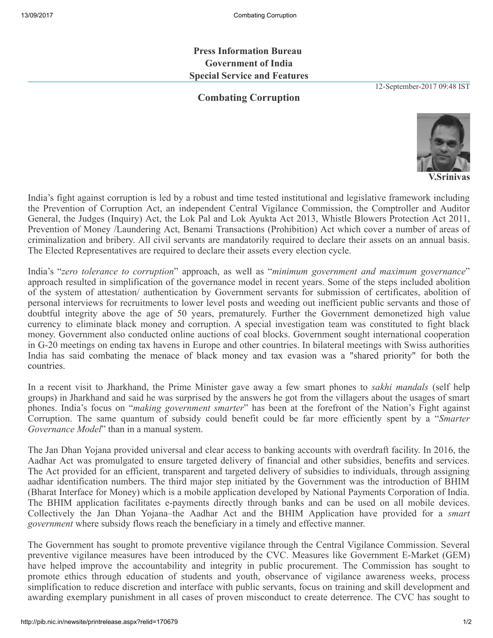Press Information Bureau Government of India Special Service and Features

Combating Corruption

12-September-2017 09:48 IST



V.Srinivas

India's fight against corruption is led by a robust and time tested institutional and legislative framework including the Prevention of Corruption Act, an independent Central Vigilance Commission, the Comptroller and Auditor General, the Judges (Inquiry) Act, the Lok Pal and Lok Ayukta Act 2013, Whistle Blowers Protection Act 2011, Prevention of Money /Laundering Act, Benami Transactions (Prohibition) Act which cover a number of areas of criminalization and bribery. All civil servants are mandatorily required to declare their assets on an annual basis. The Elected Representatives are required to declare their assets every election cycle.

India's "*zero tolerance to corruption*" approach, as well as "*minimum government and maximum governance*" approach resulted in simplification of the governance model in recent years. Some of the steps included abolition of the system of attestation/ authentication by Government servants for submission of certificates, abolition of personal interviews for recruitments to lower level posts and weeding out inefficient public servants and those of doubtful integrity above the age of 50 years, prematurely. Further the Government demonetized high value currency to eliminate black money and corruption. A special investigation team was constituted to fight black money. Government also conducted online auctions of coal blocks. Government sought international cooperation in G-20 meetings on ending tax havens in Europe and other countries. In bilateral meetings with Swiss authorities India has said combating the menace of black money and tax evasion was a "shared priority" for both the countries.

In a recent visit to Jharkhand, the Prime Minister gave away a few smart phones to *sakhi mandals* (self help groups) in Jharkhand and said he was surprised by the answers he got from the villagers about the usages of smart phones. India's focus on "*making government smarter*" has been at the forefront of the Nation's Fight against Corruption. The same quantum of subsidy could benefit could be far more efficiently spent by a "*Smarter Governance Model*" than in a manual system.

The Jan Dhan Yojana provided universal and clear access to banking accounts with overdraft facility. In 2016, the Aadhar Act was promulgated to ensure targeted delivery of financial and other subsidies, benefits and services. The Act provided for an efficient, transparent and targeted delivery of subsidies to individuals, through assigning aadhar identification numbers. The third major step initiated by the Government was the introduction of BHIM (Bharat Interface for Money) which is a mobile application developed by National Payments Corporation of India. The BHIM application facilitates e-payments directly through banks and can be used on all mobile devices. Collectively the Jan Dhan Yojana–the Aadhar Act and the BHIM Application have provided for a *smart government* where subsidy flows reach the beneficiary in a timely and effective manner.

The Government has sought to promote preventive vigilance through the Central Vigilance Commission. Several preventive vigilance measures have been introduced by the CVC. Measures like Government E-Market (GEM) have helped improve the accountability and integrity in public procurement. The Commission has sought to promote ethics through education of students and youth, observance of vigilance awareness weeks, process simplification to reduce discretion and interface with public servants, focus on training and skill development and awarding exemplary punishment in all cases of proven misconduct to create deterrence. The CVC has sought to